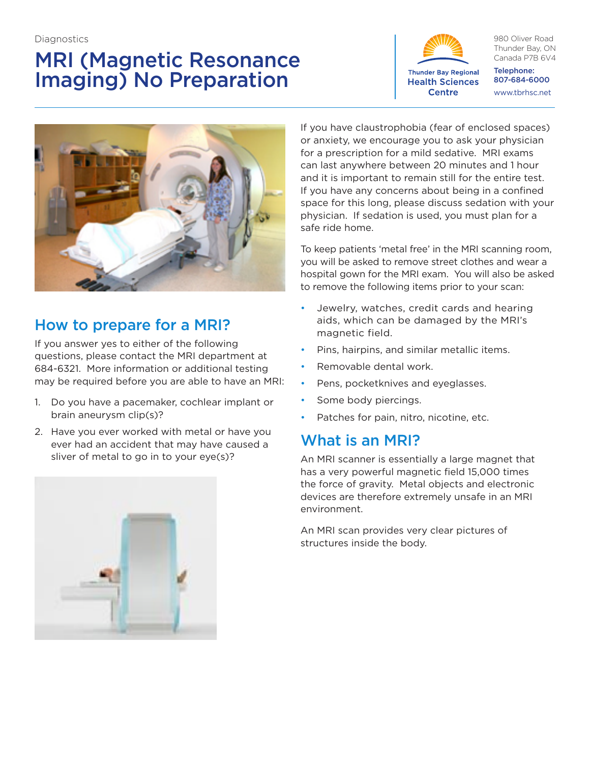**Diagnostics** 

# MRI (Magnetic Resonance Imaging) No Preparation



980 Oliver Road Thunder Bay, ON Canada P7B 6V4

Telephone: 807-684-6000 www.tbrhsc.net



## How to prepare for a MRI?

If you answer yes to either of the following questions, please contact the MRI department at 684-6321. More information or additional testing may be required before you are able to have an MRI:

- 1. Do you have a pacemaker, cochlear implant or brain aneurysm clip(s)?
- 2. Have you ever worked with metal or have you ever had an accident that may have caused a sliver of metal to go in to your eye(s)?

If you have claustrophobia (fear of enclosed spaces) or anxiety, we encourage you to ask your physician for a prescription for a mild sedative. MRI exams can last anywhere between 20 minutes and 1 hour and it is important to remain still for the entire test. If you have any concerns about being in a confined space for this long, please discuss sedation with your physician. If sedation is used, you must plan for a safe ride home.

To keep patients 'metal free' in the MRI scanning room, you will be asked to remove street clothes and wear a hospital gown for the MRI exam. You will also be asked to remove the following items prior to your scan:

- Jewelry, watches, credit cards and hearing aids, which can be damaged by the MRI's magnetic field.
- Pins, hairpins, and similar metallic items.
- Removable dental work.
- Pens, pocketknives and eyeglasses.
- Some body piercings.
- Patches for pain, nitro, nicotine, etc.

### What is an MRI?

An MRI scanner is essentially a large magnet that has a very powerful magnetic field 15,000 times the force of gravity. Metal objects and electronic devices are therefore extremely unsafe in an MRI environment.

An MRI scan provides very clear pictures of structures inside the body.